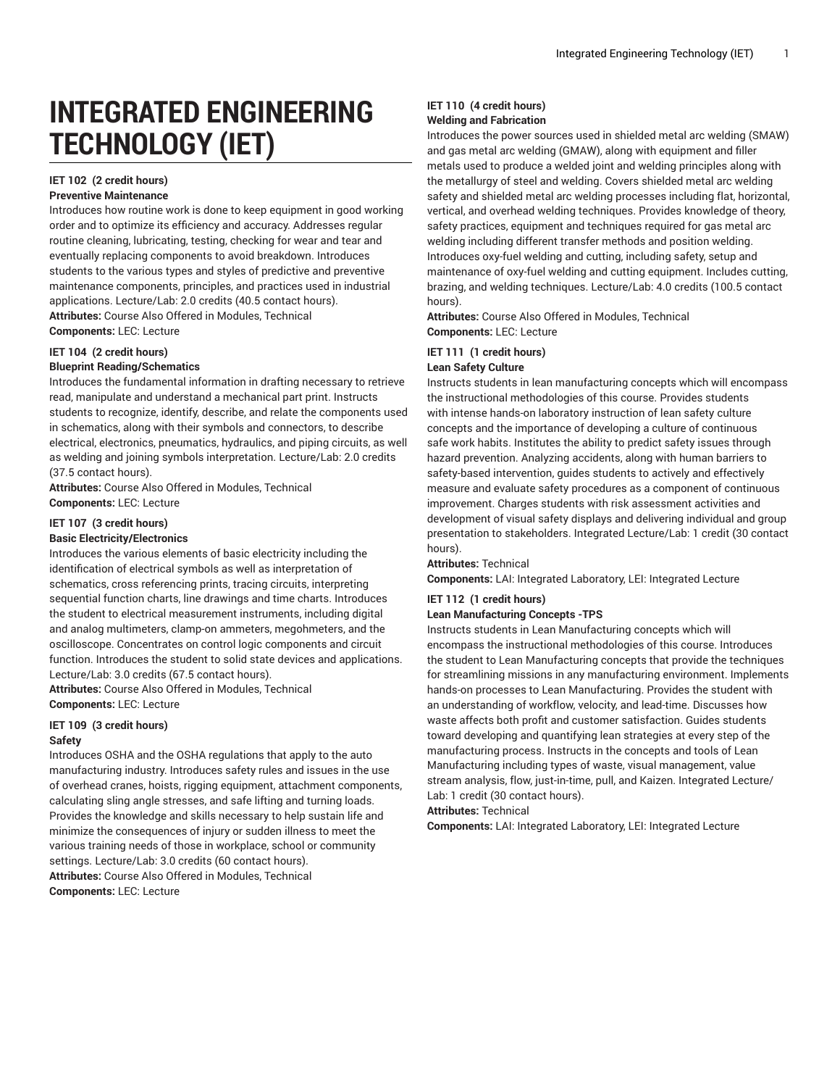# **INTEGRATED ENGINEERING TECHNOLOGY (IET)**

# **IET 102 (2 credit hours)**

# **Preventive Maintenance**

Introduces how routine work is done to keep equipment in good working order and to optimize its efficiency and accuracy. Addresses regular routine cleaning, lubricating, testing, checking for wear and tear and eventually replacing components to avoid breakdown. Introduces students to the various types and styles of predictive and preventive maintenance components, principles, and practices used in industrial applications. Lecture/Lab: 2.0 credits (40.5 contact hours). **Attributes:** Course Also Offered in Modules, Technical **Components:** LEC: Lecture

**IET 104 (2 credit hours)**

# **Blueprint Reading/Schematics**

Introduces the fundamental information in drafting necessary to retrieve read, manipulate and understand a mechanical part print. Instructs students to recognize, identify, describe, and relate the components used in schematics, along with their symbols and connectors, to describe electrical, electronics, pneumatics, hydraulics, and piping circuits, as well as welding and joining symbols interpretation. Lecture/Lab: 2.0 credits (37.5 contact hours).

**Attributes:** Course Also Offered in Modules, Technical **Components:** LEC: Lecture

# **IET 107 (3 credit hours)**

# **Basic Electricity/Electronics**

Introduces the various elements of basic electricity including the identification of electrical symbols as well as interpretation of schematics, cross referencing prints, tracing circuits, interpreting sequential function charts, line drawings and time charts. Introduces the student to electrical measurement instruments, including digital and analog multimeters, clamp-on ammeters, megohmeters, and the oscilloscope. Concentrates on control logic components and circuit function. Introduces the student to solid state devices and applications. Lecture/Lab: 3.0 credits (67.5 contact hours).

**Attributes:** Course Also Offered in Modules, Technical **Components:** LEC: Lecture

# **IET 109 (3 credit hours) Safety**

Introduces OSHA and the OSHA regulations that apply to the auto manufacturing industry. Introduces safety rules and issues in the use of overhead cranes, hoists, rigging equipment, attachment components, calculating sling angle stresses, and safe lifting and turning loads. Provides the knowledge and skills necessary to help sustain life and minimize the consequences of injury or sudden illness to meet the various training needs of those in workplace, school or community settings. Lecture/Lab: 3.0 credits (60 contact hours). **Attributes:** Course Also Offered in Modules, Technical **Components:** LEC: Lecture

# **IET 110 (4 credit hours) Welding and Fabrication**

Introduces the power sources used in shielded metal arc welding (SMAW) and gas metal arc welding (GMAW), along with equipment and filler metals used to produce a welded joint and welding principles along with the metallurgy of steel and welding. Covers shielded metal arc welding safety and shielded metal arc welding processes including flat, horizontal, vertical, and overhead welding techniques. Provides knowledge of theory, safety practices, equipment and techniques required for gas metal arc welding including different transfer methods and position welding. Introduces oxy-fuel welding and cutting, including safety, setup and maintenance of oxy-fuel welding and cutting equipment. Includes cutting, brazing, and welding techniques. Lecture/Lab: 4.0 credits (100.5 contact hours).

**Attributes:** Course Also Offered in Modules, Technical **Components:** LEC: Lecture

# **IET 111 (1 credit hours) Lean Safety Culture**

Instructs students in lean manufacturing concepts which will encompass the instructional methodologies of this course. Provides students with intense hands-on laboratory instruction of lean safety culture concepts and the importance of developing a culture of continuous safe work habits. Institutes the ability to predict safety issues through hazard prevention. Analyzing accidents, along with human barriers to safety-based intervention, guides students to actively and effectively measure and evaluate safety procedures as a component of continuous improvement. Charges students with risk assessment activities and development of visual safety displays and delivering individual and group presentation to stakeholders. Integrated Lecture/Lab: 1 credit (30 contact hours).

# **Attributes:** Technical

**Components:** LAI: Integrated Laboratory, LEI: Integrated Lecture

# **IET 112 (1 credit hours)**

# **Lean Manufacturing Concepts -TPS**

Instructs students in Lean Manufacturing concepts which will encompass the instructional methodologies of this course. Introduces the student to Lean Manufacturing concepts that provide the techniques for streamlining missions in any manufacturing environment. Implements hands-on processes to Lean Manufacturing. Provides the student with an understanding of workflow, velocity, and lead-time. Discusses how waste affects both profit and customer satisfaction. Guides students toward developing and quantifying lean strategies at every step of the manufacturing process. Instructs in the concepts and tools of Lean Manufacturing including types of waste, visual management, value stream analysis, flow, just-in-time, pull, and Kaizen. Integrated Lecture/ Lab: 1 credit (30 contact hours).

**Attributes:** Technical

**Components:** LAI: Integrated Laboratory, LEI: Integrated Lecture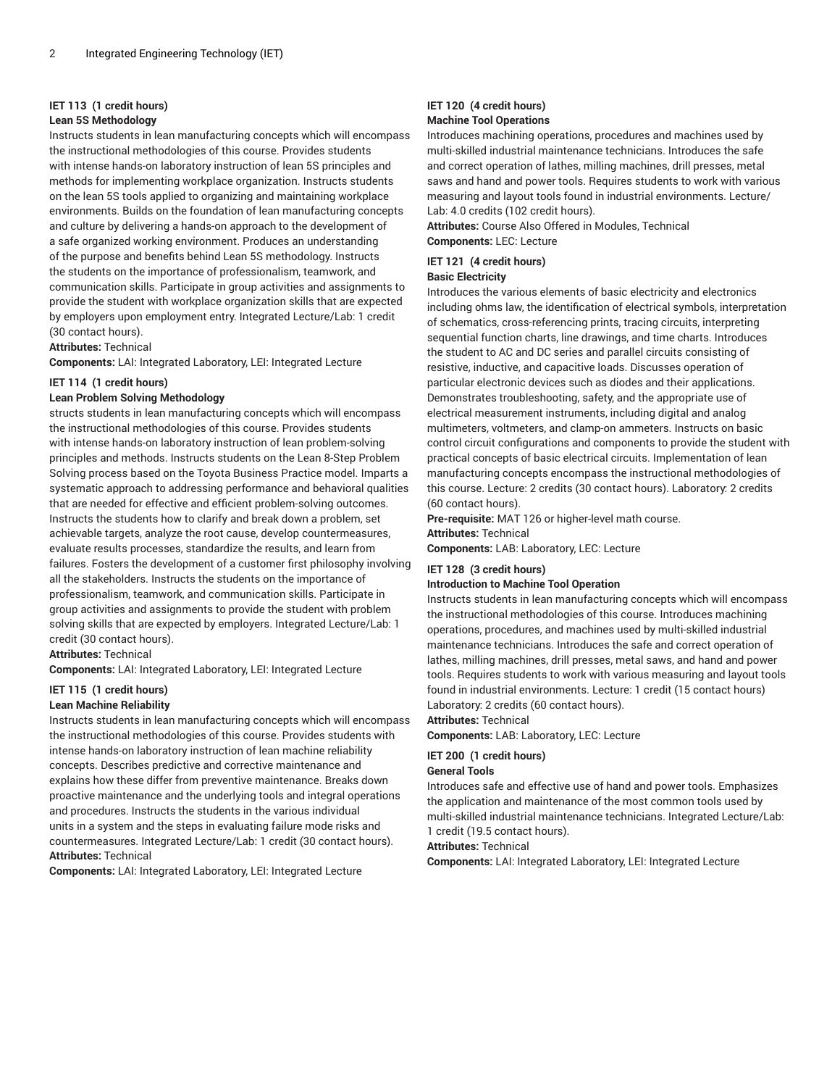# **IET 113 (1 credit hours)**

# **Lean 5S Methodology**

Instructs students in lean manufacturing concepts which will encompass the instructional methodologies of this course. Provides students with intense hands-on laboratory instruction of lean 5S principles and methods for implementing workplace organization. Instructs students on the lean 5S tools applied to organizing and maintaining workplace environments. Builds on the foundation of lean manufacturing concepts and culture by delivering a hands-on approach to the development of a safe organized working environment. Produces an understanding of the purpose and benefits behind Lean 5S methodology. Instructs the students on the importance of professionalism, teamwork, and communication skills. Participate in group activities and assignments to provide the student with workplace organization skills that are expected by employers upon employment entry. Integrated Lecture/Lab: 1 credit (30 contact hours).

**Attributes:** Technical

**Components:** LAI: Integrated Laboratory, LEI: Integrated Lecture

# **IET 114 (1 credit hours)**

# **Lean Problem Solving Methodology**

structs students in lean manufacturing concepts which will encompass the instructional methodologies of this course. Provides students with intense hands-on laboratory instruction of lean problem-solving principles and methods. Instructs students on the Lean 8-Step Problem Solving process based on the Toyota Business Practice model. Imparts a systematic approach to addressing performance and behavioral qualities that are needed for effective and efficient problem-solving outcomes. Instructs the students how to clarify and break down a problem, set achievable targets, analyze the root cause, develop countermeasures, evaluate results processes, standardize the results, and learn from failures. Fosters the development of a customer first philosophy involving all the stakeholders. Instructs the students on the importance of professionalism, teamwork, and communication skills. Participate in group activities and assignments to provide the student with problem solving skills that are expected by employers. Integrated Lecture/Lab: 1 credit (30 contact hours).

**Attributes:** Technical

**Components:** LAI: Integrated Laboratory, LEI: Integrated Lecture

# **IET 115 (1 credit hours)**

#### **Lean Machine Reliability**

Instructs students in lean manufacturing concepts which will encompass the instructional methodologies of this course. Provides students with intense hands-on laboratory instruction of lean machine reliability concepts. Describes predictive and corrective maintenance and explains how these differ from preventive maintenance. Breaks down proactive maintenance and the underlying tools and integral operations and procedures. Instructs the students in the various individual units in a system and the steps in evaluating failure mode risks and countermeasures. Integrated Lecture/Lab: 1 credit (30 contact hours). **Attributes:** Technical

**Components:** LAI: Integrated Laboratory, LEI: Integrated Lecture

# **IET 120 (4 credit hours) Machine Tool Operations**

Introduces machining operations, procedures and machines used by multi-skilled industrial maintenance technicians. Introduces the safe and correct operation of lathes, milling machines, drill presses, metal saws and hand and power tools. Requires students to work with various measuring and layout tools found in industrial environments. Lecture/ Lab: 4.0 credits (102 credit hours).

**Attributes:** Course Also Offered in Modules, Technical **Components:** LEC: Lecture

# **IET 121 (4 credit hours) Basic Electricity**

Introduces the various elements of basic electricity and electronics including ohms law, the identification of electrical symbols, interpretation of schematics, cross-referencing prints, tracing circuits, interpreting sequential function charts, line drawings, and time charts. Introduces the student to AC and DC series and parallel circuits consisting of resistive, inductive, and capacitive loads. Discusses operation of particular electronic devices such as diodes and their applications. Demonstrates troubleshooting, safety, and the appropriate use of electrical measurement instruments, including digital and analog multimeters, voltmeters, and clamp-on ammeters. Instructs on basic control circuit configurations and components to provide the student with practical concepts of basic electrical circuits. Implementation of lean manufacturing concepts encompass the instructional methodologies of this course. Lecture: 2 credits (30 contact hours). Laboratory: 2 credits (60 contact hours).

**Pre-requisite:** MAT 126 or higher-level math course. **Attributes:** Technical

**Components:** LAB: Laboratory, LEC: Lecture

# **IET 128 (3 credit hours)**

# **Introduction to Machine Tool Operation**

Instructs students in lean manufacturing concepts which will encompass the instructional methodologies of this course. Introduces machining operations, procedures, and machines used by multi-skilled industrial maintenance technicians. Introduces the safe and correct operation of lathes, milling machines, drill presses, metal saws, and hand and power tools. Requires students to work with various measuring and layout tools found in industrial environments. Lecture: 1 credit (15 contact hours) Laboratory: 2 credits (60 contact hours).

#### **Attributes:** Technical

**Components:** LAB: Laboratory, LEC: Lecture

# **IET 200 (1 credit hours)**

# **General Tools**

Introduces safe and effective use of hand and power tools. Emphasizes the application and maintenance of the most common tools used by multi-skilled industrial maintenance technicians. Integrated Lecture/Lab: 1 credit (19.5 contact hours).

# **Attributes:** Technical

**Components:** LAI: Integrated Laboratory, LEI: Integrated Lecture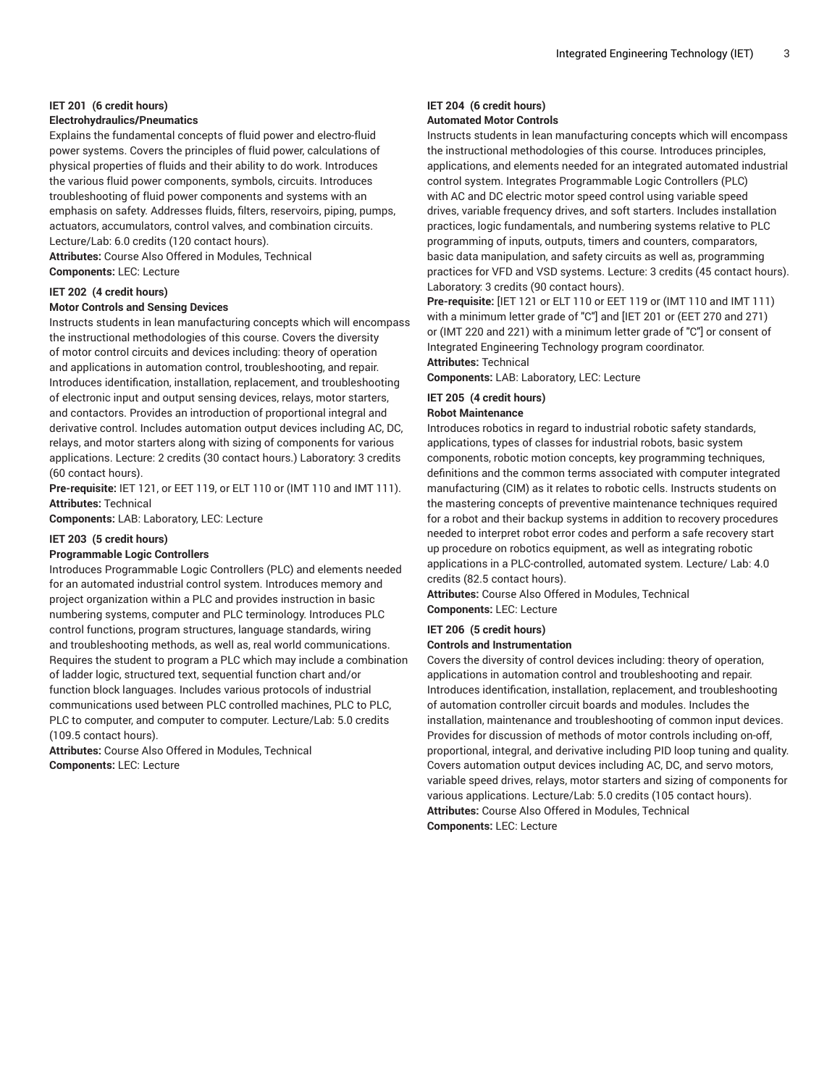# **IET 201 (6 credit hours)**

# **Electrohydraulics/Pneumatics**

Explains the fundamental concepts of fluid power and electro-fluid power systems. Covers the principles of fluid power, calculations of physical properties of fluids and their ability to do work. Introduces the various fluid power components, symbols, circuits. Introduces troubleshooting of fluid power components and systems with an emphasis on safety. Addresses fluids, filters, reservoirs, piping, pumps, actuators, accumulators, control valves, and combination circuits. Lecture/Lab: 6.0 credits (120 contact hours).

**Attributes:** Course Also Offered in Modules, Technical **Components:** LEC: Lecture

# **IET 202 (4 credit hours)**

# **Motor Controls and Sensing Devices**

Instructs students in lean manufacturing concepts which will encompass the instructional methodologies of this course. Covers the diversity of motor control circuits and devices including: theory of operation and applications in automation control, troubleshooting, and repair. Introduces identification, installation, replacement, and troubleshooting of electronic input and output sensing devices, relays, motor starters, and contactors. Provides an introduction of proportional integral and derivative control. Includes automation output devices including AC, DC, relays, and motor starters along with sizing of components for various applications. Lecture: 2 credits (30 contact hours.) Laboratory: 3 credits (60 contact hours).

**Pre-requisite:** IET 121, or EET 119, or ELT 110 or (IMT 110 and IMT 111). **Attributes:** Technical

**Components:** LAB: Laboratory, LEC: Lecture

#### **IET 203 (5 credit hours)**

# **Programmable Logic Controllers**

Introduces Programmable Logic Controllers (PLC) and elements needed for an automated industrial control system. Introduces memory and project organization within a PLC and provides instruction in basic numbering systems, computer and PLC terminology. Introduces PLC control functions, program structures, language standards, wiring and troubleshooting methods, as well as, real world communications. Requires the student to program a PLC which may include a combination of ladder logic, structured text, sequential function chart and/or function block languages. Includes various protocols of industrial communications used between PLC controlled machines, PLC to PLC, PLC to computer, and computer to computer. Lecture/Lab: 5.0 credits (109.5 contact hours).

**Attributes:** Course Also Offered in Modules, Technical **Components:** LEC: Lecture

# **IET 204 (6 credit hours)**

# **Automated Motor Controls**

Instructs students in lean manufacturing concepts which will encompass the instructional methodologies of this course. Introduces principles, applications, and elements needed for an integrated automated industrial control system. Integrates Programmable Logic Controllers (PLC) with AC and DC electric motor speed control using variable speed drives, variable frequency drives, and soft starters. Includes installation practices, logic fundamentals, and numbering systems relative to PLC programming of inputs, outputs, timers and counters, comparators, basic data manipulation, and safety circuits as well as, programming practices for VFD and VSD systems. Lecture: 3 credits (45 contact hours). Laboratory: 3 credits (90 contact hours).

**Pre-requisite:** [IET 121 or ELT 110 or EET 119 or (IMT 110 and IMT 111) with a minimum letter grade of "C"] and [IET 201 or (EET 270 and 271) or (IMT 220 and 221) with a minimum letter grade of "C"] or consent of Integrated Engineering Technology program coordinator. **Attributes:** Technical

**Components:** LAB: Laboratory, LEC: Lecture

# **IET 205 (4 credit hours) Robot Maintenance**

Introduces robotics in regard to industrial robotic safety standards, applications, types of classes for industrial robots, basic system components, robotic motion concepts, key programming techniques, definitions and the common terms associated with computer integrated manufacturing (CIM) as it relates to robotic cells. Instructs students on the mastering concepts of preventive maintenance techniques required for a robot and their backup systems in addition to recovery procedures needed to interpret robot error codes and perform a safe recovery start up procedure on robotics equipment, as well as integrating robotic applications in a PLC-controlled, automated system. Lecture/ Lab: 4.0 credits (82.5 contact hours).

**Attributes:** Course Also Offered in Modules, Technical **Components:** LEC: Lecture

#### **IET 206 (5 credit hours)**

#### **Controls and Instrumentation**

Covers the diversity of control devices including: theory of operation, applications in automation control and troubleshooting and repair. Introduces identification, installation, replacement, and troubleshooting of automation controller circuit boards and modules. Includes the installation, maintenance and troubleshooting of common input devices. Provides for discussion of methods of motor controls including on-off, proportional, integral, and derivative including PID loop tuning and quality. Covers automation output devices including AC, DC, and servo motors, variable speed drives, relays, motor starters and sizing of components for various applications. Lecture/Lab: 5.0 credits (105 contact hours). **Attributes:** Course Also Offered in Modules, Technical **Components:** LEC: Lecture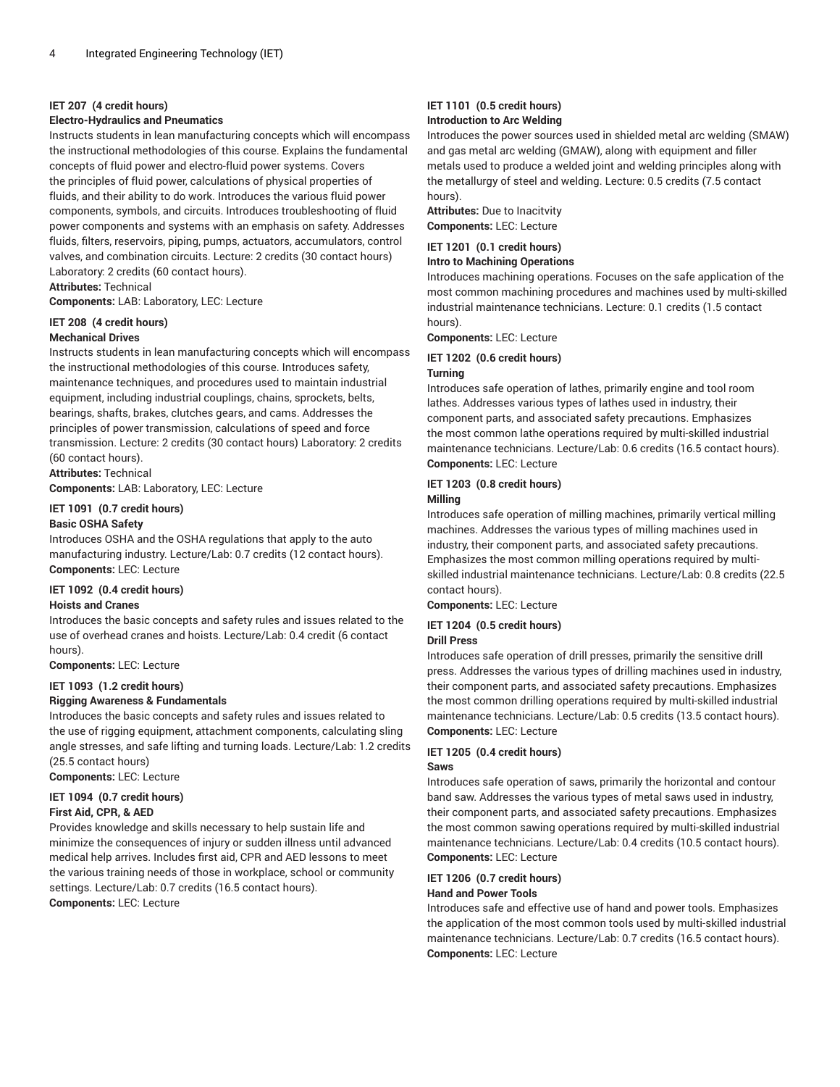# **IET 207 (4 credit hours)**

# **Electro-Hydraulics and Pneumatics**

Instructs students in lean manufacturing concepts which will encompass the instructional methodologies of this course. Explains the fundamental concepts of fluid power and electro-fluid power systems. Covers the principles of fluid power, calculations of physical properties of fluids, and their ability to do work. Introduces the various fluid power components, symbols, and circuits. Introduces troubleshooting of fluid power components and systems with an emphasis on safety. Addresses fluids, filters, reservoirs, piping, pumps, actuators, accumulators, control valves, and combination circuits. Lecture: 2 credits (30 contact hours) Laboratory: 2 credits (60 contact hours).

**Attributes:** Technical

**Components:** LAB: Laboratory, LEC: Lecture

# **IET 208 (4 credit hours)**

# **Mechanical Drives**

Instructs students in lean manufacturing concepts which will encompass the instructional methodologies of this course. Introduces safety, maintenance techniques, and procedures used to maintain industrial equipment, including industrial couplings, chains, sprockets, belts, bearings, shafts, brakes, clutches gears, and cams. Addresses the principles of power transmission, calculations of speed and force transmission. Lecture: 2 credits (30 contact hours) Laboratory: 2 credits (60 contact hours).

**Attributes:** Technical

**Components:** LAB: Laboratory, LEC: Lecture

# **IET 1091 (0.7 credit hours)**

# **Basic OSHA Safety**

Introduces OSHA and the OSHA regulations that apply to the auto manufacturing industry. Lecture/Lab: 0.7 credits (12 contact hours). **Components:** LEC: Lecture

# **IET 1092 (0.4 credit hours)**

# **Hoists and Cranes**

Introduces the basic concepts and safety rules and issues related to the use of overhead cranes and hoists. Lecture/Lab: 0.4 credit (6 contact hours).

**Components:** LEC: Lecture

# **IET 1093 (1.2 credit hours)**

# **Rigging Awareness & Fundamentals**

Introduces the basic concepts and safety rules and issues related to the use of rigging equipment, attachment components, calculating sling angle stresses, and safe lifting and turning loads. Lecture/Lab: 1.2 credits (25.5 contact hours)

**Components:** LEC: Lecture

# **IET 1094 (0.7 credit hours)**

# **First Aid, CPR, & AED**

Provides knowledge and skills necessary to help sustain life and minimize the consequences of injury or sudden illness until advanced medical help arrives. Includes first aid, CPR and AED lessons to meet the various training needs of those in workplace, school or community settings. Lecture/Lab: 0.7 credits (16.5 contact hours).

**Components:** LEC: Lecture

# **IET 1101 (0.5 credit hours) Introduction to Arc Welding**

Introduces the power sources used in shielded metal arc welding (SMAW) and gas metal arc welding (GMAW), along with equipment and filler metals used to produce a welded joint and welding principles along with the metallurgy of steel and welding. Lecture: 0.5 credits (7.5 contact hours).

**Attributes:** Due to Inacitvity **Components:** LEC: Lecture

# **IET 1201 (0.1 credit hours)**

# **Intro to Machining Operations**

Introduces machining operations. Focuses on the safe application of the most common machining procedures and machines used by multi-skilled industrial maintenance technicians. Lecture: 0.1 credits (1.5 contact hours).

**Components:** LEC: Lecture

# **IET 1202 (0.6 credit hours)**

# **Turning**

Introduces safe operation of lathes, primarily engine and tool room lathes. Addresses various types of lathes used in industry, their component parts, and associated safety precautions. Emphasizes the most common lathe operations required by multi-skilled industrial maintenance technicians. Lecture/Lab: 0.6 credits (16.5 contact hours). **Components:** LEC: Lecture

# **IET 1203 (0.8 credit hours)**

# **Milling**

Introduces safe operation of milling machines, primarily vertical milling machines. Addresses the various types of milling machines used in industry, their component parts, and associated safety precautions. Emphasizes the most common milling operations required by multiskilled industrial maintenance technicians. Lecture/Lab: 0.8 credits (22.5 contact hours).

**Components:** LEC: Lecture

# **IET 1204 (0.5 credit hours) Drill Press**

Introduces safe operation of drill presses, primarily the sensitive drill press. Addresses the various types of drilling machines used in industry, their component parts, and associated safety precautions. Emphasizes the most common drilling operations required by multi-skilled industrial maintenance technicians. Lecture/Lab: 0.5 credits (13.5 contact hours). **Components:** LEC: Lecture

# **IET 1205 (0.4 credit hours)**

# **Saws**

Introduces safe operation of saws, primarily the horizontal and contour band saw. Addresses the various types of metal saws used in industry, their component parts, and associated safety precautions. Emphasizes the most common sawing operations required by multi-skilled industrial maintenance technicians. Lecture/Lab: 0.4 credits (10.5 contact hours). **Components:** LEC: Lecture

# **IET 1206 (0.7 credit hours)**

# **Hand and Power Tools**

Introduces safe and effective use of hand and power tools. Emphasizes the application of the most common tools used by multi-skilled industrial maintenance technicians. Lecture/Lab: 0.7 credits (16.5 contact hours). **Components:** LEC: Lecture